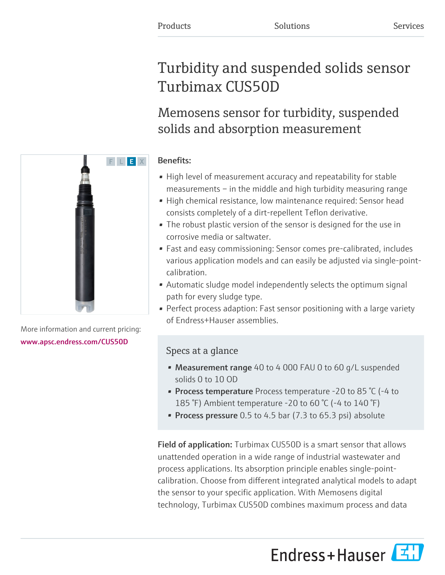# Turbidity and suspended solids sensor Turbimax CUS50D

Memosens sensor for turbidity, suspended solids and absorption measurement

### Benefits:

- High level of measurement accuracy and repeatability for stable measurements – in the middle and high turbidity measuring range
- High chemical resistance, low maintenance required: Sensor head consists completely of a dirt-repellent Teflon derivative.
- The robust plastic version of the sensor is designed for the use in corrosive media or saltwater.
- Fast and easy commissioning: Sensor comes pre-calibrated, includes various application models and can easily be adjusted via single-pointcalibration.
- Automatic sludge model independently selects the optimum signal path for every sludge type.
- Perfect process adaption: Fast sensor positioning with a large variety of Endress+Hauser assemblies.

## Specs at a glance

- Measurement range 40 to 4 000 FAU 0 to 60 g/L suspended solids 0 to 10 OD
- Process temperature Process temperature -20 to 85 °C (-4 to 185 °F) Ambient temperature -20 to 60 °C (-4 to 140 °F)
- Process pressure  $0.5$  to 4.5 bar (7.3 to 65.3 psi) absolute

Field of application: Turbimax CUS50D is a smart sensor that allows unattended operation in a wide range of industrial wastewater and process applications. Its absorption principle enables single-pointcalibration. Choose from different integrated analytical models to adapt the sensor to your specific application. With Memosens digital technology, Turbimax CUS50D combines maximum process and data

Endress+Hauser



More information and current pricing: [www.apsc.endress.com/CUS50D](https://www.apsc.endress.com/CUS50D)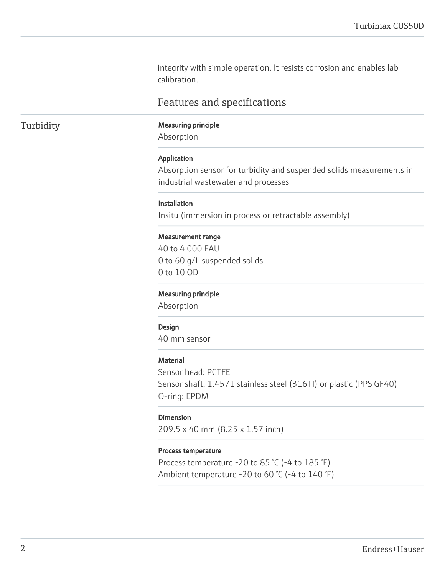integrity with simple operation. It resists corrosion and enables lab calibration.

### Features and specifications

### Turbidity Measuring principle

Absorption

#### Application

Absorption sensor for turbidity and suspended solids measurements in industrial wastewater and processes

#### Installation

Insitu (immersion in process or retractable assembly)

#### Measurement range

40 to 4 000 FAU 0 to 60 g/L suspended solids 0 to 10 OD

#### Measuring principle

Absorption

#### Design

40 mm sensor

#### **Material**

Sensor head: PCTFE Sensor shaft: 1.4571 stainless steel (316TI) or plastic (PPS GF40) O-ring: EPDM

#### Dimension

209.5 x 40 mm (8.25 x 1.57 inch)

#### Process temperature

Process temperature -20 to 85 °C (-4 to 185 °F) Ambient temperature -20 to 60 °C (-4 to 140 °F)